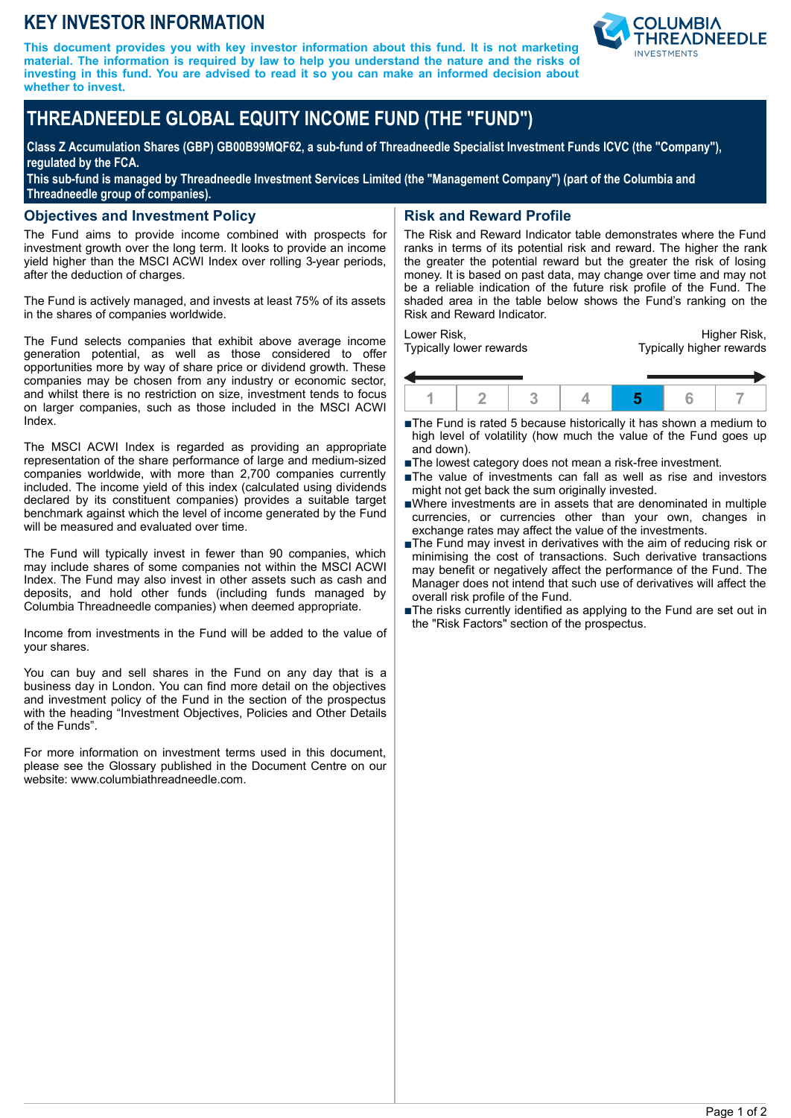## **KEY INVESTOR INFORMATION**

**This document provides you with key investor information about this fund. It is not marketing material. The information is required by law to help you understand the nature and the risks of investing in this fund. You are advised to read it so you can make an informed decision about whether to invest.**



# **THREADNEEDLE GLOBAL EQUITY INCOME FUND (THE "FUND")**

**Class Z Accumulation Shares (GBP) GB00B99MQF62, a sub-fund of Threadneedle Specialist Investment Funds ICVC (the "Company"), regulated by the FCA.**

**This sub-fund is managed by Threadneedle Investment Services Limited (the "Management Company") (part of the Columbia and Threadneedle group of companies).**

### **Objectives and Investment Policy**

The Fund aims to provide income combined with prospects for investment growth over the long term. It looks to provide an income yield higher than the MSCI ACWI Index over rolling 3-year periods, after the deduction of charges.

The Fund is actively managed, and invests at least 75% of its assets in the shares of companies worldwide.

The Fund selects companies that exhibit above average income generation potential, as well as those considered to offer opportunities more by way of share price or dividend growth. These companies may be chosen from any industry or economic sector, and whilst there is no restriction on size, investment tends to focus on larger companies, such as those included in the MSCI ACWI Index.

The MSCI ACWI Index is regarded as providing an appropriate representation of the share performance of large and medium-sized companies worldwide, with more than 2,700 companies currently included. The income yield of this index (calculated using dividends declared by its constituent companies) provides a suitable target benchmark against which the level of income generated by the Fund will be measured and evaluated over time.

The Fund will typically invest in fewer than 90 companies, which may include shares of some companies not within the MSCI ACWI Index. The Fund may also invest in other assets such as cash and deposits, and hold other funds (including funds managed by Columbia Threadneedle companies) when deemed appropriate.

Income from investments in the Fund will be added to the value of your shares.

You can buy and sell shares in the Fund on any day that is a business day in London. You can find more detail on the objectives and investment policy of the Fund in the section of the prospectus with the heading "Investment Objectives, Policies and Other Details of the Funds".

For more information on investment terms used in this document, please see the Glossary published in the Document Centre on our website: www.columbiathreadneedle.com.

## **Risk and Reward Profile**

The Risk and Reward Indicator table demonstrates where the Fund ranks in terms of its potential risk and reward. The higher the rank the greater the potential reward but the greater the risk of losing money. It is based on past data, may change over time and may not be a reliable indication of the future risk profile of the Fund. The shaded area in the table below shows the Fund's ranking on the Risk and Reward Indicator.

Lower Risk, Typically lower rewards

Higher Risk, Typically higher rewards



■The Fund is rated 5 because historically it has shown a medium to high level of volatility (how much the value of the Fund goes up and down).

- The lowest category does not mean a risk-free investment.
- The value of investments can fall as well as rise and investors might not get back the sum originally invested.
- nWhere investments are in assets that are denominated in multiple currencies, or currencies other than your own, changes in exchange rates may affect the value of the investments.
- ■The Fund may invest in derivatives with the aim of reducing risk or minimising the cost of transactions. Such derivative transactions may benefit or negatively affect the performance of the Fund. The Manager does not intend that such use of derivatives will affect the overall risk profile of the Fund.
- The risks currently identified as applying to the Fund are set out in the "Risk Factors" section of the prospectus.